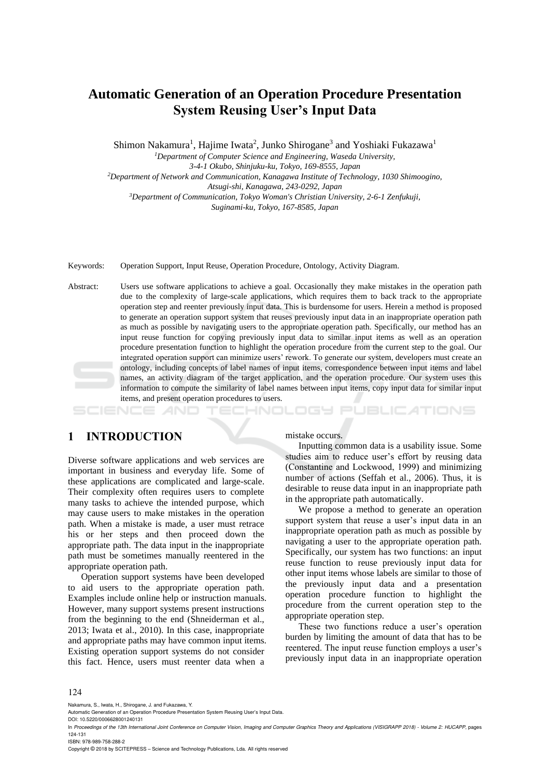# **Automatic Generation of an Operation Procedure Presentation System Reusing User's Input Data**

Shimon Nakamura<sup>1</sup>, Hajime Iwata<sup>2</sup>, Junko Shirogane<sup>3</sup> and Yoshiaki Fukazawa<sup>1</sup>

*<sup>1</sup>Department of Computer Science and Engineering, Waseda University,*

*3-4-1 Okubo, Shinjuku-ku, Tokyo, 169-8555, Japan*

*<sup>2</sup>Department of Network and Communication, Kanagawa Institute of Technology, 1030 Shimoogino,*

*Atsugi-shi, Kanagawa, 243-0292, Japan*

*<sup>3</sup>Department of Communication, Tokyo Woman's Christian University, 2-6-1 Zenfukuji,*

*Suginami-ku, Tokyo, 167-8585, Japan*

Keywords: Operation Support, Input Reuse, Operation Procedure, Ontology, Activity Diagram.

Abstract: Users use software applications to achieve a goal. Occasionally they make mistakes in the operation path due to the complexity of large-scale applications, which requires them to back track to the appropriate operation step and reenter previously input data. This is burdensome for users. Herein a method is proposed to generate an operation support system that reuses previously input data in an inappropriate operation path as much as possible by navigating users to the appropriate operation path. Specifically, our method has an input reuse function for copying previously input data to similar input items as well as an operation procedure presentation function to highlight the operation procedure from the current step to the goal. Our integrated operation support can minimize users' rework. To generate our system, developers must create an ontology, including concepts of label names of input items, correspondence between input items and label names, an activity diagram of the target application, and the operation procedure. Our system uses this information to compute the similarity of label names between input items, copy input data for similar input items, and present operation procedures to users.

HNOL OGY

# **1 INTRODUCTION**

Diverse software applications and web services are important in business and everyday life. Some of these applications are complicated and large-scale. Their complexity often requires users to complete many tasks to achieve the intended purpose, which may cause users to make mistakes in the operation path. When a mistake is made, a user must retrace his or her steps and then proceed down the appropriate path. The data input in the inappropriate path must be sometimes manually reentered in the appropriate operation path.

Operation support systems have been developed to aid users to the appropriate operation path. Examples include online help or instruction manuals. However, many support systems present instructions from the beginning to the end (Shneiderman et al., 2013; Iwata et al., 2010). In this case, inappropriate and appropriate paths may have common input items. Existing operation support systems do not consider this fact. Hence, users must reenter data when a

mistake occurs.

Inputting common data is a usability issue. Some studies aim to reduce user's effort by reusing data (Constantine and Lockwood, 1999) and minimizing number of actions (Seffah et al., 2006). Thus, it is desirable to reuse data input in an inappropriate path in the appropriate path automatically.

**JBLIC ATIONS** 

We propose a method to generate an operation support system that reuse a user's input data in an inappropriate operation path as much as possible by navigating a user to the appropriate operation path. Specifically, our system has two functions: an input reuse function to reuse previously input data for other input items whose labels are similar to those of the previously input data and a presentation operation procedure function to highlight the procedure from the current operation step to the appropriate operation step.

These two functions reduce a user's operation burden by limiting the amount of data that has to be reentered. The input reuse function employs a user's previously input data in an inappropriate operation

#### 124

Nakamura, S., Iwata, H., Shirogane, J. and Fukazawa, Y.

DOI: 10.5220/0006628001240131

In *Proceedings of the 13th International Joint Conference on Computer Vision, Imaging and Computer Graphics Theory and Applications (VISIGRAPP 2018) - Volume 2: HUCAPP*, pages 124-131

ISBN: 978-989-758-288-2

Copyright © 2018 by SCITEPRESS – Science and Technology Publications, Lda. All rights reserved

Automatic Generation of an Operation Procedure Presentation System Reusing User's Input Data.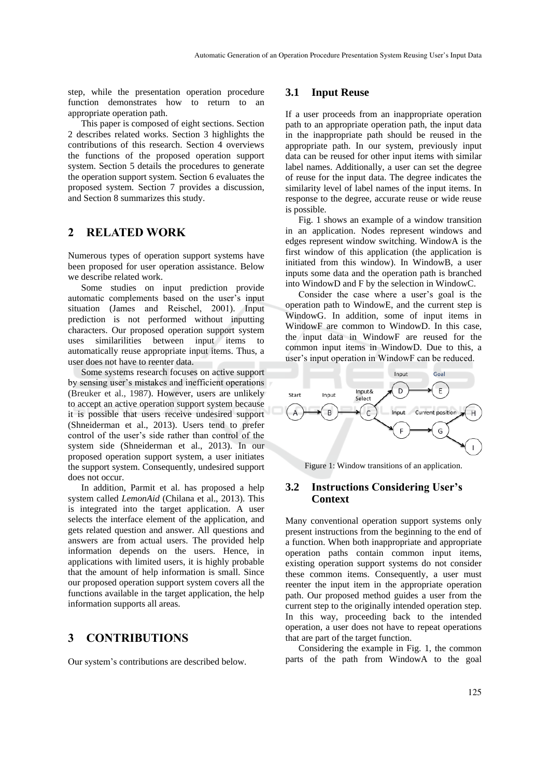step, while the presentation operation procedure function demonstrates how to return to an appropriate operation path.

This paper is composed of eight sections. Section 2 describes related works. Section 3 highlights the contributions of this research. Section 4 overviews the functions of the proposed operation support system. Section 5 details the procedures to generate the operation support system. Section 6 evaluates the proposed system. Section 7 provides a discussion, and Section 8 summarizes this study.

## **2 RELATED WORK**

Numerous types of operation support systems have been proposed for user operation assistance. Below we describe related work.

Some studies on input prediction provide automatic complements based on the user's input situation (James and Reischel, 2001). Input prediction is not performed without inputting characters. Our proposed operation support system uses similarilities between input items to automatically reuse appropriate input items. Thus, a user does not have to reenter data.

Some systems research focuses on active support by sensing user's mistakes and inefficient operations (Breuker et al., 1987). However, users are unlikely to accept an active operation support system because it is possible that users receive undesired support (Shneiderman et al., 2013). Users tend to prefer control of the user's side rather than control of the system side (Shneiderman et al., 2013). In our proposed operation support system, a user initiates the support system. Consequently, undesired support does not occur.

In addition, Parmit et al. has proposed a help system called *LemonAid* (Chilana et al., 2013). This is integrated into the target application. A user selects the interface element of the application, and gets related question and answer. All questions and answers are from actual users. The provided help information depends on the users. Hence, in applications with limited users, it is highly probable that the amount of help information is small. Since our proposed operation support system covers all the functions available in the target application, the help information supports all areas.

## **3 CONTRIBUTIONS**

Our system's contributions are described below.

#### **3.1 Input Reuse**

If a user proceeds from an inappropriate operation path to an appropriate operation path, the input data in the inappropriate path should be reused in the appropriate path. In our system, previously input data can be reused for other input items with similar label names. Additionally, a user can set the degree of reuse for the input data. The degree indicates the similarity level of label names of the input items. In response to the degree, accurate reuse or wide reuse is possible.

Fig. 1 shows an example of a window transition in an application. Nodes represent windows and edges represent window switching. WindowA is the first window of this application (the application is initiated from this window). In WindowB, a user inputs some data and the operation path is branched into WindowD and F by the selection in WindowC.

Consider the case where a user's goal is the operation path to WindowE, and the current step is WindowG. In addition, some of input items in WindowF are common to WindowD. In this case, the input data in WindowF are reused for the common input items in WindowD. Due to this, a user's input operation in WindowF can be reduced.



Figure 1: Window transitions of an application.

## **3.2 Instructions Considering User's Context**

Many conventional operation support systems only present instructions from the beginning to the end of a function. When both inappropriate and appropriate operation paths contain common input items, existing operation support systems do not consider these common items. Consequently, a user must reenter the input item in the appropriate operation path. Our proposed method guides a user from the current step to the originally intended operation step. In this way, proceeding back to the intended operation, a user does not have to repeat operations that are part of the target function.

Considering the example in Fig. 1, the common parts of the path from WindowA to the goal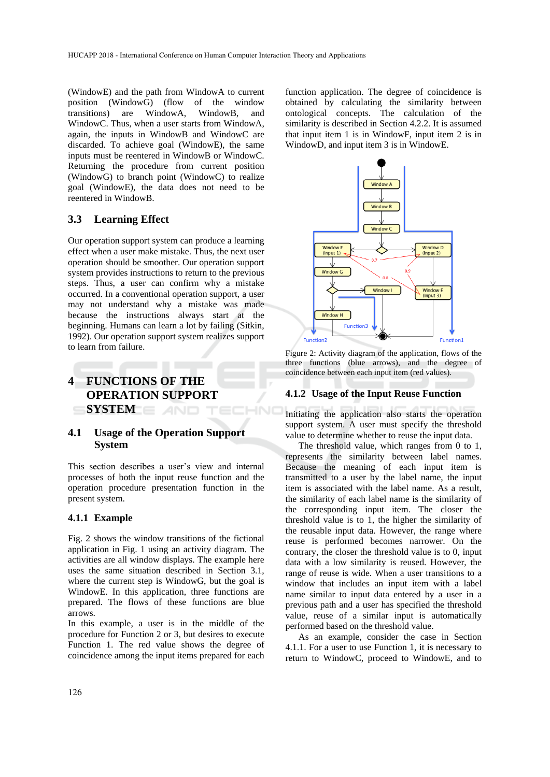(WindowE) and the path from WindowA to current position (WindowG) (flow of the window transitions) are WindowA, WindowB, and WindowC. Thus, when a user starts from WindowA, again, the inputs in WindowB and WindowC are discarded. To achieve goal (WindowE), the same inputs must be reentered in WindowB or WindowC. Returning the procedure from current position (WindowG) to branch point (WindowC) to realize goal (WindowE), the data does not need to be reentered in WindowB.

#### **3.3 Learning Effect**

Our operation support system can produce a learning effect when a user make mistake. Thus, the next user operation should be smoother. Our operation support system provides instructions to return to the previous steps. Thus, a user can confirm why a mistake occurred. In a conventional operation support, a user may not understand why a mistake was made because the instructions always start at the beginning. Humans can learn a lot by failing (Sitkin, 1992). Our operation support system realizes support to learn from failure.

# **4 FUNCTIONS OF THE OPERATION SUPPORT SYSTEM**

## **4.1 Usage of the Operation Support System**

This section describes a user's view and internal processes of both the input reuse function and the operation procedure presentation function in the present system.

#### **4.1.1 Example**

Fig. 2 shows the window transitions of the fictional application in Fig. 1 using an activity diagram. The activities are all window displays. The example here uses the same situation described in Section 3.1, where the current step is WindowG, but the goal is WindowE. In this application, three functions are prepared. The flows of these functions are blue arrows.

In this example, a user is in the middle of the procedure for Function 2 or 3, but desires to execute Function 1. The red value shows the degree of coincidence among the input items prepared for each

function application. The degree of coincidence is obtained by calculating the similarity between ontological concepts. The calculation of the similarity is described in Section 4.2.2. It is assumed that input item 1 is in WindowF, input item 2 is in WindowD, and input item 3 is in WindowE.



Figure 2: Activity diagram of the application, flows of the three functions (blue arrows), and the degree of coincidence between each input item (red values).

#### **4.1.2 Usage of the Input Reuse Function**

Initiating the application also starts the operation support system. A user must specify the threshold value to determine whether to reuse the input data.

The threshold value, which ranges from 0 to 1, represents the similarity between label names. Because the meaning of each input item is transmitted to a user by the label name, the input item is associated with the label name. As a result, the similarity of each label name is the similarity of the corresponding input item. The closer the threshold value is to 1, the higher the similarity of the reusable input data. However, the range where reuse is performed becomes narrower. On the contrary, the closer the threshold value is to 0, input data with a low similarity is reused. However, the range of reuse is wide. When a user transitions to a window that includes an input item with a label name similar to input data entered by a user in a previous path and a user has specified the threshold value, reuse of a similar input is automatically performed based on the threshold value.

As an example, consider the case in Section 4.1.1. For a user to use Function 1, it is necessary to return to WindowC, proceed to WindowE, and to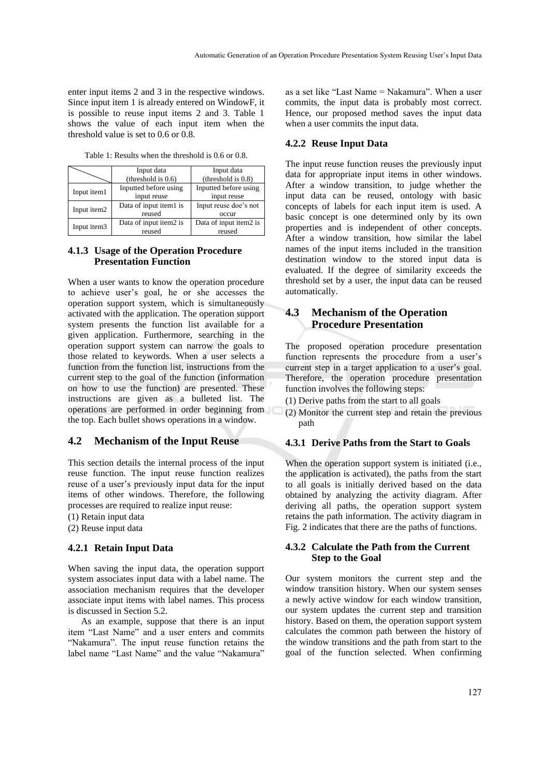enter input items 2 and 3 in the respective windows. Since input item 1 is already entered on WindowF, it is possible to reuse input items 2 and 3. Table 1 shows the value of each input item when the threshold value is set to 0.6 or 0.8.

|             | Input data             | Input data             |  |
|-------------|------------------------|------------------------|--|
|             | (threshold is $0.6$ )  | (threshold is $0.8$ )  |  |
| Input item1 | Inputted before using  | Inputted before using  |  |
|             | input reuse            | input reuse            |  |
| Input item2 | Data of input item1 is | Input reuse doe's not  |  |
|             | reused                 | occur                  |  |
| Input item3 | Data of input item2 is | Data of input item2 is |  |
|             | reused                 | reused                 |  |

Table 1: Results when the threshold is 0.6 or 0.8.

### **4.1.3 Usage of the Operation Procedure Presentation Function**

When a user wants to know the operation procedure to achieve user's goal, he or she accesses the operation support system, which is simultaneously activated with the application. The operation support system presents the function list available for a given application. Furthermore, searching in the operation support system can narrow the goals to those related to keywords. When a user selects a function from the function list, instructions from the current step to the goal of the function (information on how to use the function) are presented. These instructions are given as a bulleted list. The operations are performed in order beginning from the top. Each bullet shows operations in a window.

## **4.2 Mechanism of the Input Reuse**

This section details the internal process of the input reuse function. The input reuse function realizes reuse of a user's previously input data for the input items of other windows. Therefore, the following processes are required to realize input reuse:

(1) Retain input data

(2) Reuse input data

#### **4.2.1 Retain Input Data**

When saving the input data, the operation support system associates input data with a label name. The association mechanism requires that the developer associate input items with label names. This process is discussed in Section 5.2.

As an example, suppose that there is an input item "Last Name" and a user enters and commits "Nakamura". The input reuse function retains the label name "Last Name" and the value "Nakamura"

as a set like "Last Name = Nakamura". When a user commits, the input data is probably most correct. Hence, our proposed method saves the input data when a user commits the input data.

## **4.2.2 Reuse Input Data**

The input reuse function reuses the previously input data for appropriate input items in other windows. After a window transition, to judge whether the input data can be reused, ontology with basic concepts of labels for each input item is used. A basic concept is one determined only by its own properties and is independent of other concepts. After a window transition, how similar the label names of the input items included in the transition destination window to the stored input data is evaluated. If the degree of similarity exceeds the threshold set by a user, the input data can be reused automatically.

## **4.3 Mechanism of the Operation Procedure Presentation**

The proposed operation procedure presentation function represents the procedure from a user's current step in a target application to a user's goal. Therefore, the operation procedure presentation function involves the following steps:

- (1) Derive paths from the start to all goals
- (2) Monitor the current step and retain the previous path

#### **4.3.1 Derive Paths from the Start to Goals**

When the operation support system is initiated (i.e., the application is activated), the paths from the start to all goals is initially derived based on the data obtained by analyzing the activity diagram. After deriving all paths, the operation support system retains the path information. The activity diagram in Fig. 2 indicates that there are the paths of functions.

#### **4.3.2 Calculate the Path from the Current Step to the Goal**

Our system monitors the current step and the window transition history. When our system senses a newly active window for each window transition, our system updates the current step and transition history. Based on them, the operation support system calculates the common path between the history of the window transitions and the path from start to the goal of the function selected. When confirming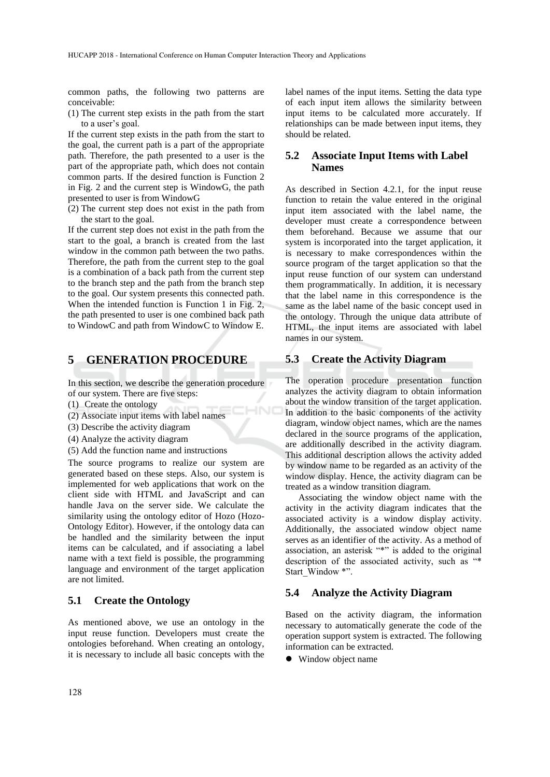common paths, the following two patterns are conceivable:

(1) The current step exists in the path from the start to a user's goal.

If the current step exists in the path from the start to the goal, the current path is a part of the appropriate path. Therefore, the path presented to a user is the part of the appropriate path, which does not contain common parts. If the desired function is Function 2 in Fig. 2 and the current step is WindowG, the path presented to user is from WindowG

(2) The current step does not exist in the path from the start to the goal.

If the current step does not exist in the path from the start to the goal, a branch is created from the last window in the common path between the two paths. Therefore, the path from the current step to the goal is a combination of a back path from the current step to the branch step and the path from the branch step to the goal. Our system presents this connected path. When the intended function is Function 1 in Fig. 2, the path presented to user is one combined back path to WindowC and path from WindowC to Window E.

## **5 GENERATION PROCEDURE**

In this section, we describe the generation procedure of our system. There are five steps:

 $-N$ 

- (1) Create the ontology
- (2) Associate input items with label names
- (3) Describe the activity diagram
- (4) Analyze the activity diagram
- (5) Add the function name and instructions

The source programs to realize our system are generated based on these steps. Also, our system is implemented for web applications that work on the client side with HTML and JavaScript and can handle Java on the server side. We calculate the similarity using the ontology editor of Hozo (Hozo-Ontology Editor). However, if the ontology data can be handled and the similarity between the input items can be calculated, and if associating a label name with a text field is possible, the programming language and environment of the target application are not limited.

## **5.1 Create the Ontology**

As mentioned above, we use an ontology in the input reuse function. Developers must create the ontologies beforehand. When creating an ontology, it is necessary to include all basic concepts with the

label names of the input items. Setting the data type of each input item allows the similarity between input items to be calculated more accurately. If relationships can be made between input items, they should be related.

## **5.2 Associate Input Items with Label Names**

As described in Section 4.2.1, for the input reuse function to retain the value entered in the original input item associated with the label name, the developer must create a correspondence between them beforehand. Because we assume that our system is incorporated into the target application, it is necessary to make correspondences within the source program of the target application so that the input reuse function of our system can understand them programmatically. In addition, it is necessary that the label name in this correspondence is the same as the label name of the basic concept used in the ontology. Through the unique data attribute of HTML, the input items are associated with label names in our system.

## **5.3 Create the Activity Diagram**

The operation procedure presentation function analyzes the activity diagram to obtain information about the window transition of the target application. In addition to the basic components of the activity diagram, window object names, which are the names declared in the source programs of the application, are additionally described in the activity diagram. This additional description allows the activity added by window name to be regarded as an activity of the window display. Hence, the activity diagram can be treated as a window transition diagram.

Associating the window object name with the activity in the activity diagram indicates that the associated activity is a window display activity. Additionally, the associated window object name serves as an identifier of the activity. As a method of association, an asterisk "\*" is added to the original description of the associated activity, such as "\* Start\_Window \*".

## **5.4 Analyze the Activity Diagram**

Based on the activity diagram, the information necessary to automatically generate the code of the operation support system is extracted. The following information can be extracted.

• Window object name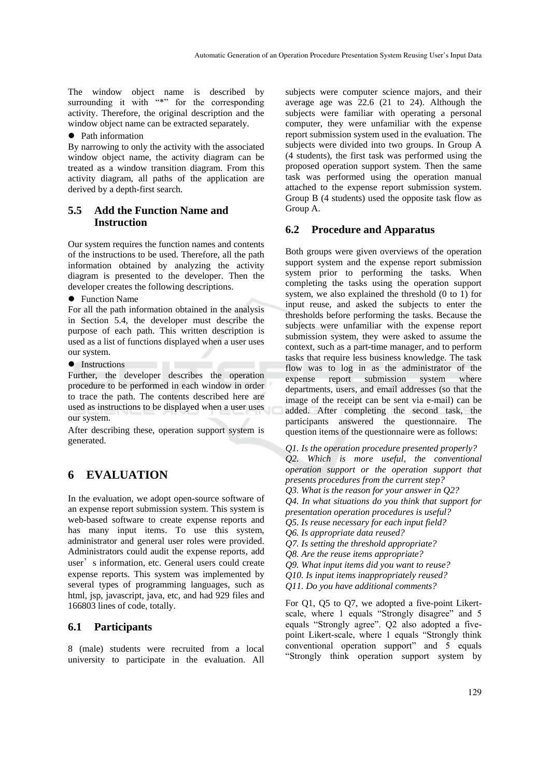The window object name is described by surrounding it with "\*" for the corresponding activity. Therefore, the original description and the window object name can be extracted separately.

• Path information

By narrowing to only the activity with the associated window object name, the activity diagram can be treated as a window transition diagram. From this activity diagram, all paths of the application are derived by a depth-first search.

## **5.5 Add the Function Name and Instruction**

Our system requires the function names and contents of the instructions to be used. Therefore, all the path information obtained by analyzing the activity diagram is presented to the developer. Then the developer creates the following descriptions.

• Function Name

For all the path information obtained in the analysis in Section 5.4, the developer must describe the purpose of each path. This written description is used as a list of functions displayed when a user uses our system.

• Instructions

Further, the developer describes the operation procedure to be performed in each window in order to trace the path. The contents described here are used as instructions to be displayed when a user uses our system.

After describing these, operation support system is generated.

# **6 EVALUATION**

In the evaluation, we adopt open-source software of an expense report submission system. This system is web-based software to create expense reports and has many input items. To use this system, administrator and general user roles were provided. Administrators could audit the expense reports, add user's information, etc. General users could create expense reports. This system was implemented by several types of programming languages, such as html, jsp, javascript, java, etc, and had 929 files and 166803 lines of code, totally.

## **6.1 Participants**

8 (male) students were recruited from a local university to participate in the evaluation. All

subjects were computer science majors, and their average age was 22.6 (21 to 24). Although the subjects were familiar with operating a personal computer, they were unfamiliar with the expense report submission system used in the evaluation. The subjects were divided into two groups. In Group A (4 students), the first task was performed using the proposed operation support system. Then the same task was performed using the operation manual attached to the expense report submission system. Group B (4 students) used the opposite task flow as Group A.

## **6.2 Procedure and Apparatus**

Both groups were given overviews of the operation support system and the expense report submission system prior to performing the tasks. When completing the tasks using the operation support system, we also explained the threshold (0 to 1) for input reuse, and asked the subjects to enter the thresholds before performing the tasks. Because the subjects were unfamiliar with the expense report submission system, they were asked to assume the context, such as a part-time manager, and to perform tasks that require less business knowledge. The task flow was to log in as the administrator of the expense report submission system where departments, users, and email addresses (so that the image of the receipt can be sent via e-mail) can be added. After completing the second task, the participants answered the questionnaire. The question items of the questionnaire were as follows:

*Q1. Is the operation procedure presented properly? Q2. Which is more useful, the conventional operation support or the operation support that presents procedures from the current step? Q3. What is the reason for your answer in Q2? Q4. In what situations do you think that support for presentation operation procedures is useful? Q5. Is reuse necessary for each input field? Q6. Is appropriate data reused? Q7. Is setting the threshold appropriate? Q8. Are the reuse items appropriate? Q9. What input items did you want to reuse? Q10. Is input items inappropriately reused?* 

*Q11. Do you have additional comments?*

For Q1, Q5 to Q7, we adopted a five-point Likertscale, where 1 equals "Strongly disagree" and 5 equals "Strongly agree". Q2 also adopted a fivepoint Likert-scale, where 1 equals "Strongly think conventional operation support" and 5 equals "Strongly think operation support system by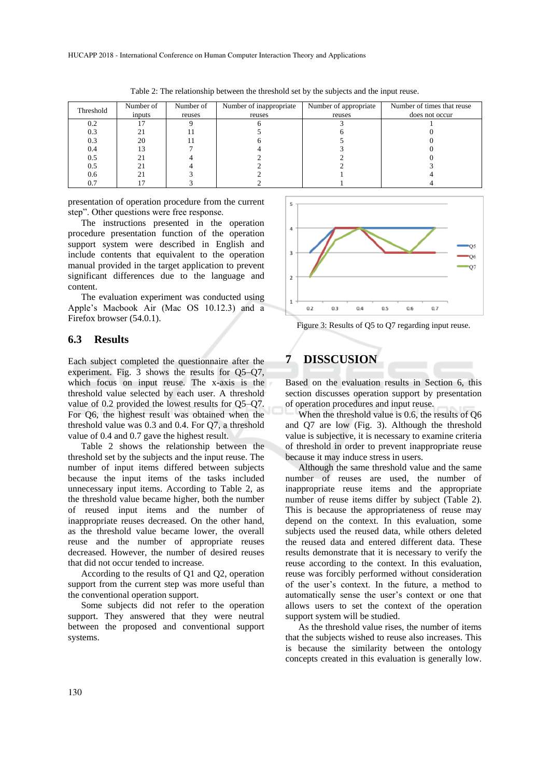|           | Number of | Number of | Number of inappropriate | Number of appropriate | Number of times that reuse |
|-----------|-----------|-----------|-------------------------|-----------------------|----------------------------|
| Threshold | inputs    | reuses    | reuses                  | reuses                | does not occur             |
| 0.2       |           |           |                         |                       |                            |
| 0.3       |           |           |                         |                       |                            |
| 0.3       | 20        |           |                         |                       |                            |
| 0.4       |           |           |                         |                       |                            |
| 0.5       |           |           |                         |                       |                            |
| 0.5       |           |           |                         |                       |                            |
| 0.6       |           |           |                         |                       |                            |
| 0.7       |           |           |                         |                       |                            |

Table 2: The relationship between the threshold set by the subjects and the input reuse.

presentation of operation procedure from the current step". Other questions were free response.

The instructions presented in the operation procedure presentation function of the operation support system were described in English and include contents that equivalent to the operation manual provided in the target application to prevent significant differences due to the language and content.

The evaluation experiment was conducted using Apple's Macbook Air (Mac OS 10.12.3) and a Firefox browser (54.0.1).

## **6.3 Results**

Each subject completed the questionnaire after the experiment. Fig. 3 shows the results for Q5–Q7, which focus on input reuse. The x-axis is the threshold value selected by each user. A threshold value of 0.2 provided the lowest results for Q5–Q7. For Q6, the highest result was obtained when the threshold value was 0.3 and 0.4. For Q7, a threshold value of 0.4 and 0.7 gave the highest result.

Table 2 shows the relationship between the threshold set by the subjects and the input reuse. The number of input items differed between subjects because the input items of the tasks included unnecessary input items. According to Table 2, as the threshold value became higher, both the number of reused input items and the number of inappropriate reuses decreased. On the other hand, as the threshold value became lower, the overall reuse and the number of appropriate reuses decreased. However, the number of desired reuses that did not occur tended to increase.

According to the results of Q1 and Q2, operation support from the current step was more useful than the conventional operation support.

Some subjects did not refer to the operation support. They answered that they were neutral between the proposed and conventional support systems.



Figure 3: Results of Q5 to Q7 regarding input reuse.

# **7 DISSCUSION**

Based on the evaluation results in Section 6, this section discusses operation support by presentation of operation procedures and input reuse.

When the threshold value is 0.6, the results of Q6 and Q7 are low (Fig. 3). Although the threshold value is subjective, it is necessary to examine criteria of threshold in order to prevent inappropriate reuse because it may induce stress in users.

Although the same threshold value and the same number of reuses are used, the number of inappropriate reuse items and the appropriate number of reuse items differ by subject (Table 2). This is because the appropriateness of reuse may depend on the context. In this evaluation, some subjects used the reused data, while others deleted the reused data and entered different data. These results demonstrate that it is necessary to verify the reuse according to the context. In this evaluation, reuse was forcibly performed without consideration of the user's context. In the future, a method to automatically sense the user's context or one that allows users to set the context of the operation support system will be studied.

As the threshold value rises, the number of items that the subjects wished to reuse also increases. This is because the similarity between the ontology concepts created in this evaluation is generally low.